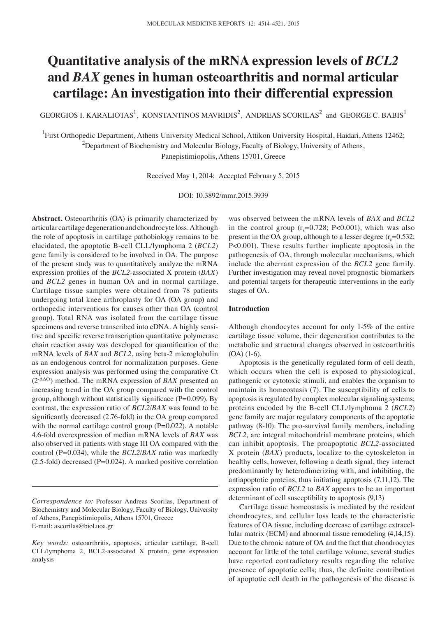# **Quantitative analysis of the mRNA expression levels of** *BCL2*  **and** *BAX* **genes in human osteoarthritis and normal articular cartilage: An investigation into their differential expression**

GEORGIOS I. KARALIOTAS<sup>1</sup>, KONSTANTINOS MAVRIDIS<sup>2</sup>, ANDREAS SCORILAS<sup>2</sup> and GEORGE C. BABIS<sup>1</sup>

<sup>1</sup>First Orthopedic Department, Athens University Medical School, Attikon University Hospital, Haidari, Athens 12462;  $^{2}$ Department of Biochemistry and Molecular Biology, Faculty of Biology, University of Athens, Panepistimiopolis, Athens 15701, Greece

Received May 1, 2014; Accepted February 5, 2015

DOI: 10.3892/mmr.2015.3939

Abstract. Osteoarthritis (OA) is primarily characterized by articular cartilage degeneration and chondrocyte loss. Although the role of apoptosis in cartilage pathobiology remains to be elucidated, the apoptotic B-cell CLL/lymphoma 2 (*BCL2*) gene family is considered to be involved in OA. The purpose of the present study was to quantitatively analyze the mRNA expression profiles of the *BCL2*-associated X protein (*BAX*) and *BCL2* genes in human OA and in normal cartilage. Cartilage tissue samples were obtained from 78 patients undergoing total knee arthroplasty for OA (OA group) and orthopedic interventions for causes other than OA (control group). Total RNA was isolated from the cartilage tissue specimens and reverse transcribed into cDNA. A highly sensitive and specific reverse transcription quantitative polymerase chain reaction assay was developed for quantification of the mRNA levels of *BAX* and *BCL2*, using beta-2 microglobulin as an endogenous control for normalization purposes. Gene expression analysis was performed using the comparative Ct (2-ΔΔCt) method. The mRNA expression of *BAX* presented an increasing trend in the OA group compared with the control group, although without statistically significace (P=0.099). By contrast, the expression ratio of *BCL2*/*BAX* was found to be significantly decreased (2.76‑fold) in the OA group compared with the normal cartilage control group  $(P=0.022)$ . A notable 4.6‑fold overexpression of median mRNA levels of *BAX* was also observed in patients with stage III OA compared with the control (P=0.034), while the *BCL2*/*BAX* ratio was markedly (2.5‑fold) decreased (P=0.024). A marked positive correlation

was observed between the mRNA levels of *BAX* and *BCL2* in the control group  $(r_s=0.728; P<0.001)$ , which was also present in the OA group, although to a lesser degree  $(r_s=0.532)$ ; P<0.001). These results further implicate apoptosis in the pathogenesis of OA, through molecular mechanisms, which include the aberrant expression of the *BCL2* gene family. Further investigation may reveal novel prognostic biomarkers and potential targets for therapeutic interventions in the early stages of OA.

## **Introduction**

Although chondocytes account for only 1-5% of the entire cartilage tissue volume, their degeneration contributes to the metabolic and structural changes observed in osteoarthritis  $(OA)$   $(1-6)$ .

Apoptosis is the genetically regulated form of cell death, which occurs when the cell is exposed to physiological, pathogenic or cytotoxic stimuli, and enables the organism to maintain its homeostasis (7). The susceptibility of cells to apoptosis is regulated by complex molecular signaling systems; proteins encoded by the B-cell CLL/lymphoma 2 (*BCL2*) gene family are major regulatory components of the apoptotic pathway (8-10). The pro-survival family members, including *BCL2,* are integral mitochondrial membrane proteins, which can inhibit apoptosis. The proapoptotic *BCL2*-associated X protein (*BAX*) products, localize to the cytoskeleton in healthy cells, however, following a death signal, they interact predominantly by heterodimerizing with, and inhibiting, the antiapoptotic proteins, thus initiating apoptosis (7,11,12). The expression ratio of *BCL2* to *BAX* appears to be an important determinant of cell susceptibility to apoptosis (9,13)

Cartilage tissue homeostasis is mediated by the resident chondrocytes, and cellular loss leads to the characteristic features of OA tissue, including decrease of cartilage extracellular matrix (ECM) and abnormal tissue remodeling (4,14,15). Due to the chronic nature of OA and the fact that chondrocytes account for little of the total cartilage volume, several studies have reported contradictory results regarding the relative presence of apoptotic cells; thus, the definite contribution of apoptotic cell death in the pathogenesis of the disease is

*Correspondence to:* Professor Andreas Scorilas, Department of Biochemistry and Molecular Biology, Faculty of Biology, University of Athens, Panepistimiopolis, Athens 15701, Greece E-mail: ascorilas@biol.uoa.gr

*Key words:* osteoarthritis, apoptosis, articular cartilage, B-cell CLL/lymphoma 2, BCL2-associated X protein, gene expression analysis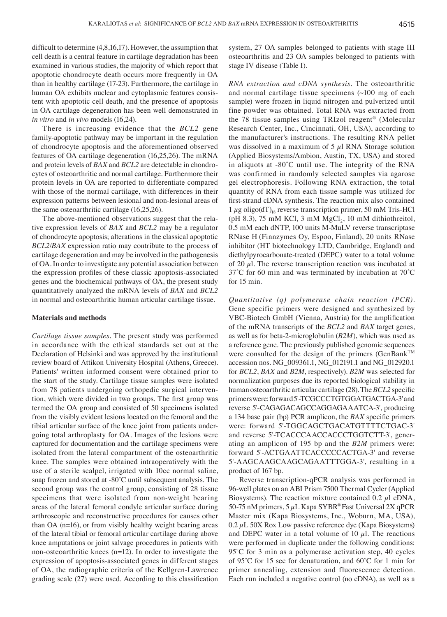difficult to determine (4,8,16,17). However, the assumption that cell death is a central feature in cartilage degradation has been examined in various studies, the majority of which report that apoptotic chondrocyte death occurs more frequently in OA than in healthy cartilage (17‑23). Furthermore, the cartilage in human OA exhibits nuclear and cytoplasmic features consistent with apoptotic cell death, and the presence of apoptosis in OA cartilage degeneration has been well demonstrated in *in vitro* and *in vivo* models (16,24).

There is increasing evidence that the *BCL2* gene family-apoptotic pathway may be important in the regulation of chondrocyte apoptosis and the aforementioned observed features of OA cartilage degeneration (16,25,26). The mRNA and protein levels of *BAX* and *BCL2* are detectable in chondrocytes of osteoarthritic and normal cartilage. Furthermore their protein levels in OA are reported to differentiate compared with those of the normal cartilage, with differences in their expression patterns between lesional and non-lesional areas of the same osteoarthritic cartilage (16,25,26).

The above-mentioned observations suggest that the relative expression levels of *BAX* and *BCL2* may be a regulator of chondrocyte apoptosis; alterations in the classical apoptotic *BCL2*/*BAX* expression ratio may contribute to the process of cartilage degeneration and may be involved in the pathogenesis of OA. In order to investigate any potential association between the expression profiles of these classic apoptosis‑associated genes and the biochemical pathways of OA, the present study quantitatively analyzed the mRNA levels of *BAX* and *BCL2* in normal and osteoarthritic human articular cartilage tissue.

#### **Materials and methods**

*Cartilage tissue samples.* The present study was performed in accordance with the ethical standards set out at the Declaration of Helsinki and was approved by the institutional review board of Attikon University Hospital (Athens, Greece). Patients' written informed consent were obtained prior to the start of the study. Cartilage tissue samples were isolated from 78 patients undergoing orthopedic surgical intervention, which were divided in two groups. The first group was termed the OA group and consisted of 50 specimens isolated from the visibly evident lesions located on the femoral and the tibial articular surface of the knee joint from patients undergoing total arthroplasty for OA. Images of the lesions were captured for documentation and the cartilage specimens were isolated from the lateral compartment of the osteoarthritic knee. The samples were obtained intraoperatively with the use of a sterile scalpel, irrigated with 10cc normal saline, snap frozen and stored at -80˚C until subsequent analysis. The second group was the control group, consisting of 28 tissue specimens that were isolated from non-weight bearing areas of the lateral femoral condyle articular surface during arthroscopic and reconstructive procedures for causes other than OA (n=16), or from visibly healthy weight bearing areas of the lateral tibial or femoral articular cartilage during above knee amputations or joint salvage procedures in patients with non-osteoarthritic knees  $(n=12)$ . In order to investigate the expression of apoptosis-associated genes in different stages of OA, the radiographic criteria of the Kellgren-Lawrence grading scale (27) were used. According to this classification

system, 27 OA samples belonged to patients with stage III osteoarthritis and 23 OA samples belonged to patients with stage IV disease (Table I).

*RNA extraction and cDNA synthesis.* The osteoarthritic and normal cartilage tissue specimens (~100 mg of each sample) were frozen in liquid nitrogen and pulverized until fine powder was obtained. Total RNA was extracted from the 78 tissue samples using TRIzol reagent® (Molecular Research Center, Inc., Cincinnati, OH, USA), according to the manufacturer's instructions. The resulting RNA pellet was dissolved in a maximum of 5  $\mu$ l RNA Storage solution (Applied Biosystems/Ambion, Austin, TX, USA) and stored in aliquots at -80˚C until use. The integrity of the RNA was confirmed in randomly selected samples via agarose gel electrophoresis. Following RNA extraction, the total quantity of RNA from each tissue sample was utilized for first‑strand cDNA synthesis. The reaction mix also contained  $1 \mu$ g oligo(dT)<sub>18</sub> reverse transcription primer, 50 mM Tris-HCl (pH 8.3), 75 mM KCl, 3 mM  $MgCl<sub>2</sub>$ , 10 mM dithiothreitol, 0.5 mM each dNTP, 100 units M-MuLV reverse transcriptase RNase H- (Finnzymes Oy, Espoo, Finland), 20 units RNase inhibitor (HT biotechnology LTD, Cambridge, England) and diethylpyrocarbonate-treated (DEPC) water to a total volume of 20  $\mu$ l. The reverse transcription reaction was incubated at 37˚C for 60 min and was terminated by incubation at 70˚C for 15 min.

*Quantitative (q) polymerase chain reaction (PCR).*  Gene specific primers were designed and synthesized by VBC-Biotech GmbH (Vienna, Austria) for the amplification of the mRNA transcripts of the *BCL2* and *BAX* target genes, as well as for beta-2-microglobulin (*B2M*), which was used as a reference gene. The previously published genomic sequences were consulted for the design of the primers (GenBankTM accession nos. NG\_009361.1, NG\_012191.1 and NG\_012920.1 for *BCL2*, *BAX* and *B2M*, respectively). *B2M* was selected for normalization purposes due its reported biological stability in human osteoarthritic articular cartilage (28). The *BCL2* specific primers were: forward 5'-TCGCCCTGTGGATGACTGA-3' and reverse 5'‑CAGAGACAGCCAGGAGAAATCA‑3', producing a 134 base pair (bp) PCR amplicon, the *BAX* specific primers were: forward 5'‑TGGCAGCTGACATGTTTTCTGAC‑3' and reverse 5'-TCACCCAACCACCCTGGTCTT-3', generating an amplicon of 195 bp and the *B2M* primers were: forward 5'‑ACTGAATTCACCCCCACTGA‑3' and reverse 5'‑AAGCAAGCAAGCAGAATTTGGA‑3', resulting in a product of 167 bp.

Reverse transcription-qPCR analysis was performed in 96‑well plates on an ABI Prism 7500 Thermal Cycler (Applied Biosystems). The reaction mixture contained  $0.2 \mu l$  cDNA, 50-75 nM primers,  $5 \mu L$  Kapa SYBR<sup>®</sup> Fast Universal 2X qPCR Master mix (Kapa Biosystems, Inc., Woburn, MA, USA),  $0.2 \mu L$  50X Rox Low passive reference dye (Kapa Biosystems) and DEPC water in a total volume of 10  $\mu$ l. The reactions were performed in duplicate under the following conditions: 95<sup>°</sup>C for 3 min as a polymerase activation step, 40 cycles of 95˚C for 15 sec for denaturation, and 60˚C for 1 min for primer annealing, extension and fluorescence detection. Each run included a negative control (no cDNA), as well as a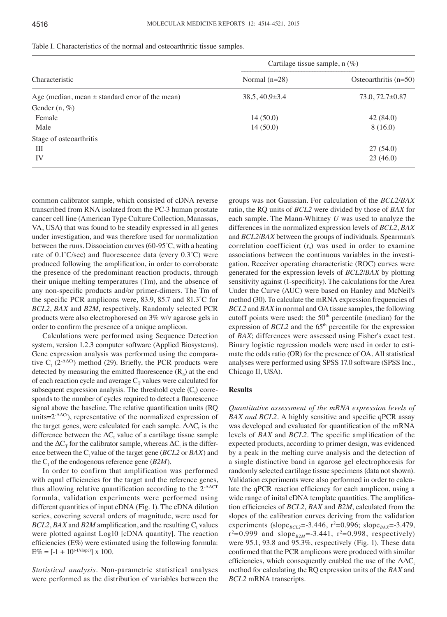|                                                     | Cartilage tissue sample, $n$ (%) |                         |  |  |
|-----------------------------------------------------|----------------------------------|-------------------------|--|--|
| Characteristic                                      | Normal $(n=28)$                  | Osteoarthritis $(n=50)$ |  |  |
| Age (median, mean $\pm$ standard error of the mean) | $38.5, 40.9 \pm 3.4$             | $73.0, 72.7 \pm 0.87$   |  |  |
| Gender $(n, \%)$                                    |                                  |                         |  |  |
| Female                                              | 14(50.0)                         | 42(84.0)                |  |  |
| Male                                                | 14(50.0)                         | 8(16.0)                 |  |  |
| Stage of osteoarthritis                             |                                  |                         |  |  |
| Ш                                                   |                                  | 27(54.0)                |  |  |
| IV                                                  |                                  | 23(46.0)                |  |  |

|  |  |  |  |  |  |  |  |  |  | Table I. Characteristics of the normal and osteoarthritic tissue samples. |
|--|--|--|--|--|--|--|--|--|--|---------------------------------------------------------------------------|
|--|--|--|--|--|--|--|--|--|--|---------------------------------------------------------------------------|

common calibrator sample, which consisted of cDNA reverse transcribed from RNA isolated from the PC‑3 human prostate cancer cell line (American Type Culture Collection, Manassas, VA, USA) that was found to be steadily expressed in all genes under investigation, and was therefore used for normalization between the runs. Dissociation curves (60‑95˚C, with a heating rate of 0.1˚C/sec) and fluorescence data (every 0.3˚C) were produced following the amplification, in order to corroborate the presence of the predominant reaction products, through their unique melting temperatures (Tm), and the absence of any non*‑*specific products and/or primer-dimers. The Tm of the specific PCR amplicons were, 83.9, 85.7 and 81.3˚C for *BCL2*, *BAX* and *B2M*, respectively. Randomly selected PCR products were also electrophoresed on 3% w/v agarose gels in order to confirm the presence of a unique amplicon.

Calculations were performed using Sequence Detection system, version 1.2.3 computer software (Applied Biosystems). Gene expression analysis was performed using the comparative  $C_t$  (2<sup>- $\Delta\Delta$ Ct</sup>) method (29). Briefly, the PCR products were detected by measuring the emitted fluorescence  $(R_n)$  at the end of each reaction cycle and average  $C_T$  values were calculated for subsequent expression analysis. The threshold cycle  $(C_t)$  corresponds to the number of cycles required to detect a fluorescence signal above the baseline. The relative quantification units (RQ units= $2^{-\Delta\Delta Ct}$ ), representative of the normalized expression of the target genes, were calculated for each sample.  $\Delta \Delta C_t$  is the difference between the  $\Delta C_t$  value of a cartilage tissue sample and the  $\Delta C_{\scriptscriptstyle T}$  for the calibrator sample, whereas  $\Delta C_{\scriptscriptstyle t}$  is the difference between the  $C_t$  value of the target gene ( $BCL2$  or  $BAX$ ) and the C<sub>t</sub> of the endogenous reference gene (*B2M*).

In order to confirm that amplification was performed with equal efficiencies for the target and the reference genes, thus allowing relative quantification according to the  $2^{\triangle\Delta CT}$ formula, validation experiments were performed using different quantities of input cDNA (Fig. 1). The cDNA dilution series, covering several orders of magnitude, were used for  $BCL2, BAX$  and  $B2M$  amplification, and the resulting  $C_t$  values were plotted against Log10 [cDNA quantity]. The reaction efficiencies (E%) were estimated using the following formula:  $E\% = [-1 + 10^{(-1/slope)}] \times 100.$ 

*Statistical analysis.* Non-parametric statistical analyses were performed as the distribution of variables between the

groups was not Gaussian. For calculation of the *BCL2*/*BAX* ratio, the RQ units of *BCL2* were divided by those of *BAX* for each sample. The Mann-Whitney *U* was used to analyze the differences in the normalized expression levels of *BCL2*, *BAX* and *BCL2*/*BAX* between the groups of individuals. Spearman's correlation coefficient  $(r<sub>s</sub>)$  was used in order to examine associations between the continuous variables in the investigation. Receiver operating characteristic (ROC) curves were generated for the expression levels of *BCL2*/*BAX* by plotting sensitivity against (1‑specificity). The calculations for the Area Under the Curve (AUC) were based on Hanley and McNeil's method (30). To calculate the mRNA expression frequencies of *BCL2* and *BAX* in normal and OA tissue samples, the following cutoff points were used: the 50<sup>th</sup> percentile (median) for the expression of  $BCL2$  and the  $65<sup>th</sup>$  percentile for the expression of *BAX*; differences were assessed using Fisher's exact test. Binary logistic regression models were used in order to estimate the odds ratio (OR) for the presence of OA. All statistical analyses were performed using SPSS 17.0 software (SPSS Inc., Chicago Il, USA).

## **Results**

*Quantitative assessment of the mRNA expression levels of BAX and BCL2.* A highly sensitive and specific qPCR assay was developed and evaluated for quantification of the mRNA levels of *BAX* and *BCL2*. The specific amplification of the expected products, according to primer design, was evidenced by a peak in the melting curve analysis and the detection of a single distinctive band in agarose gel electrophoresis for randomly selected cartilage tissue specimens (data not shown). Validation experiments were also performed in order to calculate the qPCR reaction efficiency for each amplicon, using a wide range of inital cDNA template quantities. The amplification efficiencies of *BCL2*, *BAX* and *B2M*, calculated from the slopes of the calibration curves deriving from the validation experiments (slope<sub>BCL2</sub>=-3.446, r<sup>2</sup>=0.996; slope<sub>BAX</sub>=-3.479,  $r^2 = 0.999$  and  $slope_{B2M} = -3.441$ ,  $r^2 = 0.998$ , respectively) were 95.1, 93.8 and 95.3%, respectively (Fig. 1). These data confirmed that the PCR amplicons were produced with similar efficiencies, which consequently enabled the use of the  $\Delta \Delta C_t$ method for calculating the RQ expression units of the *BAX* and *BCL2* mRNA transcripts.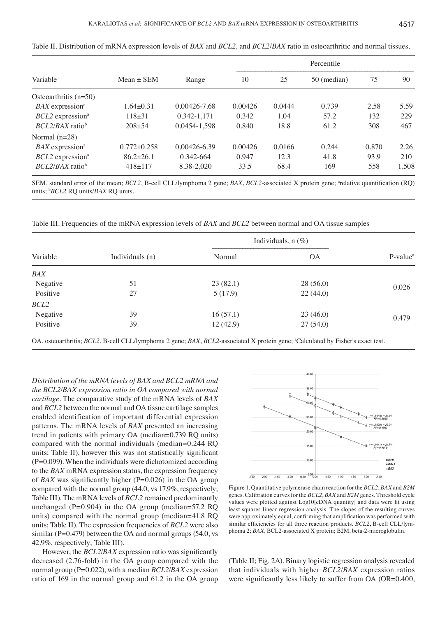|                                |                   |              | Percentile |        |             |       |       |
|--------------------------------|-------------------|--------------|------------|--------|-------------|-------|-------|
| Variable                       | $Mean \pm SEM$    | Range        | 10         | 25     | 50 (median) | 75    | 90    |
| Osteoarthritis $(n=50)$        |                   |              |            |        |             |       |       |
| $BAX$ expression <sup>a</sup>  | $1.64 \pm 0.31$   | 0.00426-7.68 | 0.00426    | 0.0444 | 0.739       | 2.58  | 5.59  |
| $BCL2$ expression <sup>a</sup> | $118 + 31$        | 0.342-1.171  | 0.342      | 1.04   | 57.2        | 132   | 229   |
| $BCL2/BAX$ ratio <sup>b</sup>  | $208 + 54$        | 0.0454-1,598 | 0.840      | 18.8   | 61.2        | 308   | 467   |
| Normal $(n=28)$                |                   |              |            |        |             |       |       |
| $BAX$ expression <sup>a</sup>  | $0.772 \pm 0.258$ | 0.00426-6.39 | 0.00426    | 0.0166 | 0.244       | 0.870 | 2.26  |
| $BCL2$ expression <sup>a</sup> | $86.2 \pm 26.1$   | 0.342-664    | 0.947      | 12.3   | 41.8        | 93.9  | 210   |
| $BCL2/BAX$ ratio <sup>b</sup>  | $418 \pm 117$     | 8.38-2,020   | 33.5       | 68.4   | 169         | 558   | 1,508 |

| Table II. Distribution of mRNA expression levels of <i>BAX</i> and <i>BCL2</i> , and <i>BCL2/BAX</i> ratio in osteoarthritic and normal tissues |  |
|-------------------------------------------------------------------------------------------------------------------------------------------------|--|
|-------------------------------------------------------------------------------------------------------------------------------------------------|--|

SEM, standard error of the mean; *BCL2*, B-cell CLL/lymphoma 2 gene; *BAX*, *BCL2*-associated X protein gene; <sup>a</sup>relative quantification (RQ) units; <sup>b</sup> *BCL2* RQ units/*BAX* RQ units.

Table III. Frequencies of the mRNA expression levels of *BAX* and *BCL2* between normal and OA tissue samples

| Variable |                 | Individuals, $n$ (%) |           |                      |
|----------|-----------------|----------------------|-----------|----------------------|
|          | Individuals (n) | Normal               | <b>OA</b> | P-value <sup>®</sup> |
| BAX      |                 |                      |           |                      |
| Negative | 51              | 23(82.1)             | 28(56.0)  | 0.026                |
| Positive | 27              | 5(17.9)              | 22(44.0)  |                      |
| BCL2     |                 |                      |           |                      |
| Negative | 39              | 16(57.1)             | 23(46.0)  | 0.479                |
| Positive | 39              | 12(42.9)             | 27(54.0)  |                      |

OA, osteoarthritis; *BCL2*, B-cell CLL/lymphoma 2 gene; *BAX, BCL2*-associated X protein gene; <sup>a</sup>Calculated by Fisher's exact test.

*Distribution of the mRNA levels of BAX and BCL2 mRNA and the BCL2*/*BAX expression ratio in OA compared with normal cartilage.* The comparative study of the mRNA levels of *BAX* and *BCL2* between the normal and OA tissue cartilage samples enabled identification of important differential expression patterns. The mRNA levels of *BAX* presented an increasing trend in patients with primary OA (median=0.739 RQ units) compared with the normal individuals (median=0.244 RQ units; Table II), however this was not statistically significant  $(P=0.099)$ . When the individuals were dichotomized according to the *BAX* mRNA expression status, the expression frequency of *BAX* was significantly higher (P=0.026) in the OA group compared with the normal group (44.0, vs 17.9%, respectively; Table III). The mRNA levels of *BCL2* remained predominantly unchanged ( $P=0.904$ ) in the OA group (median=57.2 RQ units) compared with the normal group (median=41.8 RQ units; Table II). The expression frequencies of *BCL2* were also similar ( $P=0.479$ ) between the OA and normal groups (54.0, vs 42.9%, respectively; Table III).

However, the *BCL2*/*BAX* expression ratio was significantly decreased (2.76‑fold) in the OA group compared with the normal group (P=0.022), with a median *BCL2*/*BAX* expression ratio of 169 in the normal group and 61.2 in the OA group



Figure 1. Quantitative polymerase chain reaction for the *BCL2*, *BAX* and *B2M* genes. Calibration curves for the *BCL2*, *BAX* and *B2M* genes. Threshold cycle values were plotted against Log10[cDNA quantity] and data were fit using least squares linear regression analysis. The slopes of the resulting curves were approximately equal, confirming that amplification was performed with similar efficiencies for all three reaction products. *BCL2*, B-cell CLL/lymphoma 2; *BAX*, BCL2-associated X protein; B2M, beta-2-microglobulin.

(Table II; Fig. 2A). Binary logistic regression analysis revealed that individuals with higher *BCL2*/*BAX* expression ratios were significantly less likely to suffer from OA (OR=0.400,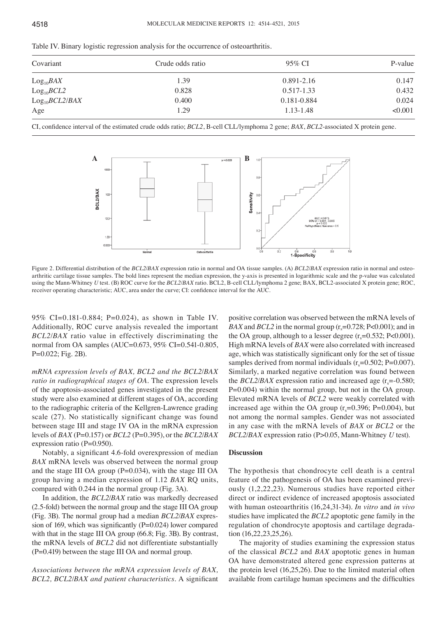| Covariant          | Crude odds ratio | 95% CI         | P-value |
|--------------------|------------------|----------------|---------|
| $Log_{10}BAX$      | 1.39             | $0.891 - 2.16$ | 0.147   |
| $Log_{10}BCL2$     | 0.828            | $0.517 - 1.33$ | 0.432   |
| $Log_{10}BCL2/BAX$ | 0.400            | 0.181-0.884    | 0.024   |
| Age                | 1.29             | 1.13-1.48      | < 0.001 |

Table IV. Binary logistic regression analysis for the occurrence of osteoarthritis.

CI, confidence interval of the estimated crude odds ratio; *BCL2*, B-cell CLL/lymphoma 2 gene; *BAX*, *BCL2*-associated X protein gene.



Figure 2. Differential distribution of the *BCL2*/*BAX* expression ratio in normal and OA tissue samples. (A) *BCL2*/*BAX* expression ratio in normal and osteoarthritic cartilage tissue samples. The bold lines represent the median expression, the y-axis is presented in logarithmic scale and the p-value was calculated using the Mann-Whitney *U* test. (B) ROC curve for the *BCL2/BAX* ratio. BCL2, B-cell CLL/lymphoma 2 gene; BAX, BCL2-associated X protein gene; ROC, receiver operating characteristic; AUC, area under the curve; CI: confidence interval for the AUC.

95% CI=0.181‑0.884; P=0.024), as shown in Table IV. Additionally, ROC curve analysis revealed the important *BCL2*/*BAX* ratio value in effectively discriminating the normal from OA samples (AUC=0.673, 95% CI=0.541‑0.805, P=0.022; Fig. 2B).

*mRNA expression levels of BAX, BCL2 and the BCL2*/*BAX ratio in radiographical stages of OA.* The expression levels of the apoptosis-associated genes investigated in the present study were also examined at different stages of OA, according to the radiographic criteria of the Kellgren-Lawrence grading scale (27). No statistically significant change was found between stage III and stage IV OA in the mRNA expression levels of *BAX* (P=0.157) or *BCL2* (P=0.395), or the *BCL2*/*BAX* expression ratio (P=0.950).

Notably, a significant 4.6‑fold overexpression of median *BAX* mRNA levels was observed between the normal group and the stage III OA group (P=0.034), with the stage III OA group having a median expression of 1.12 *BAX* RQ units, compared with 0.244 in the normal group (Fig. 3A).

In addition, the *BCL2*/*BAX* ratio was markedly decreased (2.5-fold) between the normal group and the stage III OA group (Fig. 3B). The normal group had a median *BCL2*/*BAX* expression of 169, which was significantly (P=0.024) lower compared with that in the stage III OA group (66.8; Fig. 3B). By contrast, the mRNA levels of *BCL2* did not differentiate substantially (P=0.419) between the stage III OA and normal group.

*Associations between the mRNA expression levels of BAX, BCL2, BCL2*/*BAX and patient characteristics.* A significant

positive correlation was observed between the mRNA levels of *BAX* and *BCL2* in the normal group  $(r<sub>s</sub>=0.728; P<0.001)$ ; and in the OA group, although to a lesser degree  $(r_s=0.532; P<0.001)$ . High mRNA levels of *BAX* were also correlated with increased age, which was statistically significant only for the set of tissue samples derived from normal individuals  $(r_s=0.502; P=0.007)$ . Similarly, a marked negative correlation was found between the *BCL2/BAX* expression ratio and increased age  $(r_s = -0.580)$ ; P=0.004) within the normal group, but not in the OA group. Elevated mRNA levels of *BCL2* were weakly correlated with increased age within the OA group  $(r_s=0.396; P=0.004)$ , but not among the normal samples. Gender was not associated in any case with the mRNA levels of *BAX* or *BCL2* or the *BCL2*/*BAX* expression ratio (P>0.05, Mann-Whitney *U* test).

#### **Discussion**

The hypothesis that chondrocyte cell death is a central feature of the pathogenesis of OA has been examined previously (1,2,22,23). Numerous studies have reported either direct or indirect evidence of increased apoptosis associated with human osteoarthritis (16,24,31-34). *In vitro* and *in vivo* studies have implicated the *BCL2* apoptotic gene family in the regulation of chondrocyte apoptosis and cartilage degradation (16,22,23,25,26).

The majority of studies examining the expression status of the classical *BCL2* and *BAX* apoptotic genes in human OA have demonstrated altered gene expression patterns at the protein level (16,25,26). Due to the limited material often available from cartilage human specimens and the difficulties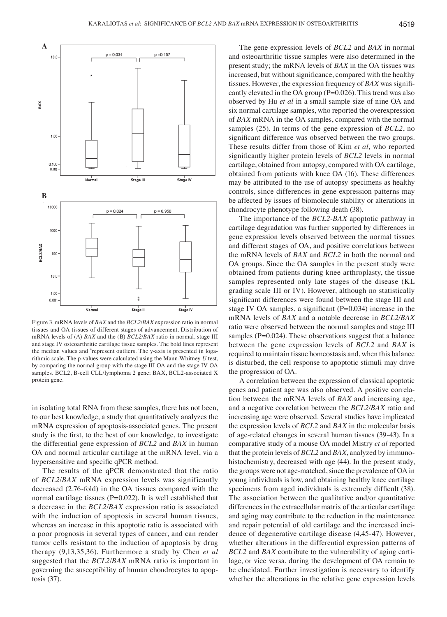

Figure 3. mRNA levels of *BAX* and the *BCL2*/*BAX* expression ratio in normal tissues and OA tissues of different stages of advancement. Distribution of mRNA levels of (A) *BAX* and the (B) *BCL2*/*BAX* ratio in normal, stage III and stage IV osteoarthritic cartilage tissue samples. The bold lines represent the median values and \* represent outliers. The y-axis is presented in logarithmic scale. The p-values were calculated using the Mann-Whitney *U* test, by comparing the normal group with the stage III OA and the stage IV OA samples. BCL2, B-cell CLL/lymphoma 2 gene; BAX, BCL2-associated X protein gene.

in isolating total RNA from these samples, there has not been, to our best knowledge, a study that quantitatively analyzes the mRNA expression of apoptosis-associated genes. The present study is the first, to the best of our knowledge, to investigate the differential gene expression of *BCL2* and *BAX* in human OA and normal articular cartilage at the mRNA level, via a hypersensitive and specific qPCR method.

The results of the qPCR demonstrated that the ratio of *BCL2*/*BAX* mRNA expression levels was significantly decreased (2.76‑fold) in the OA tissues compared with the normal cartilage tissues ( $P=0.022$ ). It is well established that a decrease in the *BCL2*/*BAX* expression ratio is associated with the induction of apoptosis in several human tissues, whereas an increase in this apoptotic ratio is associated with a poor prognosis in several types of cancer, and can render tumor cells resistant to the induction of apoptosis by drug therapy (9,13,35,36). Furthermore a study by Chen *et al* suggested that the *BCL2*/*BAX* mRNA ratio is important in governing the susceptibility of human chondrocytes to apoptosis (37).

The gene expression levels of *BCL2* and *BAX* in normal and osteoarthritic tissue samples were also determined in the present study; the mRNA levels of *BAX* in the OA tissues was increased, but without significance, compared with the healthy tissues. However, the expression frequency of *BAX* was significantly elevated in the OA group  $(P=0.026)$ . This trend was also observed by Hu *et al* in a small sample size of nine OA and six normal cartilage samples, who reported the overexpression of *BAX* mRNA in the OA samples, compared with the normal samples (25). In terms of the gene expression of *BCL2*, no significant difference was observed between the two groups. These results differ from those of Kim *et al,* who reported significantly higher protein levels of *BCL2* levels in normal cartilage, obtained from autopsy, compared with OA cartilage, obtained from patients with knee OA (16). These differences may be attributed to the use of autopsy specimens as healthy controls, since differences in gene expression patterns may be affected by issues of biomolecule stability or alterations in chondrocyte phenotype following death (38).

The importance of the *BCL2*-*BAX* apoptotic pathway in cartilage degradation was further supported by differences in gene expression levels observed between the normal tissues and different stages of OA, and positive correlations between the mRNA levels of *BAX* and *BCL2* in both the normal and OA groups. Since the OA samples in the present study were obtained from patients during knee arthroplasty, the tissue samples represented only late stages of the disease (KL grading scale III or IV). However, although no statistically significant differences were found between the stage III and stage IV OA samples, a significant  $(P=0.034)$  increase in the mRNA levels of *BAX* and a notable decrease in *BCL2*/*BAX* ratio were observed between the normal samples and stage III samples (P=0.024). These observations suggest that a balance between the gene expression levels of *BCL2* and *BAX* is required to maintain tissue homeostasis and, when this balance is disturbed, the cell response to apoptotic stimuli may drive the progression of OA.

A correlation between the expression of classical apoptotic genes and patient age was also observed. A positive correlation between the mRNA levels of *BAX* and increasing age, and a negative correlation between the *BCL2*/*BAX* ratio and increasing age were observed. Several studies have implicated the expression levels of *BCL2* and *BAX* in the molecular basis of age‑related changes in several human tissues (39‑43). In a comparative study of a mouse OA model Mistry *et al* reported that the protein levels of *BCL2* and *BAX*, analyzed by immunohistochemistry, decreased with age (44). In the present study, the groups were not age-matched, since the prevalence of OA in young individuals is low, and obtaining healthy knee cartilage specimens from aged individuals is extremely difficult (38). The association between the qualitative and/or quantitative differences in the extracellular matrix of the articular cartilage and aging may contribute to the reduction in the maintenance and repair potential of old cartilage and the increased incidence of degenerative cartilage disease (4,45-47). However, whether alterations in the differential expression patterns of *BCL2* and *BAX* contribute to the vulnerability of aging cartilage, or vice versa, during the development of OA remain to be elucidated. Further investigation is necessary to identify whether the alterations in the relative gene expression levels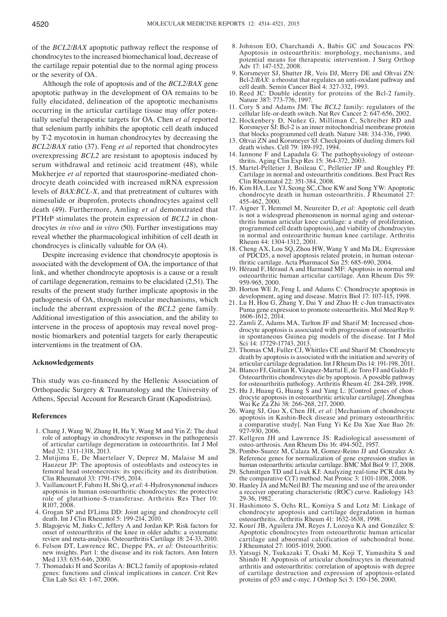of the *BCL2*/*BAX* apoptotic pathway reflect the response of chondrocytes to the increased biomechanical load, decrease of the cartilage repair potential due to the normal aging process or the severity of OA.

Although the role of apoptosis and of the *BCL2*/*BAX* gene apoptotic pathway in the development of OA remains to be fully elucidated, delineation of the apoptotic mechanisms occurring in the articular cartilage tissue may offer potentially useful therapeutic targets for OA. Chen *et al* reported that selenium partly inhibits the apoptotic cell death induced by T-2 mycotoxin in human chondrocytes by decreasing the *BCL2*/*BAX* ratio (37). Feng *et al* reported that chondrocytes overexpressing *BCL2* are resistant to apoptosis induced by serum withdrawal and retinoic acid treatment (48), while Mukherjee *et al* reported that staurosporine-mediated chondrocyte death coincided with increased mRNA expression levels of *BAX*:*BCL‑X*, and that pretreatment of cultures with nimesulide or ibuprofen, protects chondrocytes against cell death (49). Furthermore, Amling *et al* demonstrated that PTHrP stimulates the protein expression of *BCL2* in chondrocytes *in vivo* and *in vitro* (50). Further investigations may reveal whether the pharmacological inhibition of cell death in chondrocyes is clinically valuable for OA (4).

Despite increasing evidence that chondrocyte apoptosis is associated with the development of OA, the importance of that link, and whether chondrocyte apoptosis is a cause or a result of cartilage degeneration, remains to be elucidated (2,51). The results of the present study further implicate apoptosis in the pathogenesis of OA, through molecular mechanisms, which include the aberrant expression of the *BCL2* gene family. Additional investigation of this association, and the ability to intervene in the process of apoptosis may reveal novel prognostic biomarkers and potential targets for early therapeutic interventions in the treatment of OA.

## **Acknowledgements**

This study was co-financed by the Hellenic Association of Orthopaedic Surgery & Traumatology and the University of Athens, Special Account for Research Grant (Kapodistrias).

#### **References**

- 1. Chang J, Wang W, Zhang H, Hu Y, Wang M and Yin Z: The dual role of autophagy in chondrocyte responses in the pathogenesis of articular cartilage degeneration in osteoarthritis. Int J Mol Med 32: 1311‑1318, 2013.
- 2. Mutijima E, De Maertelaer V, Deprez M, Malaise M and Hauzeur JP: The apoptosis of osteoblasts and osteocytes in femoral head osteonecrosis: its specificity and its distribution. Clin Rheumatol 33: 1791‑1795, 2014.
- 3. Vaillancourt F, Fahmi H, Shi Q, *et al*: 4-Hydroxynonenal induces apoptosis in human osteoarthritic chondrocytes: the protective role of glutathione-S-transferase. Arthritis Res Ther 10: R107, 2008.
- 4. Grogan SP and D'Lima DD: Joint aging and chondrocyte cell death. Int J Clin Rheumtol 5: 199‑214, 2010.
- 5. Blagojevic M, Jinks C, Jeffery A and Jordan KP: Risk factors for onset of osteoarthritis of the knee in older adults: a systematic review and meta‑analysis. Osteoarthritis Cartilage 18: 24‑33, 2010.
- 6. Felson DT, Lawrence RC, Dieppe PA, *et al*: Osteoarthritis: new insights. Part 1: the disease and its risk factors. Ann Intern Med 133: 635‑646, 2000.
- 7. Thomadaki H and Scorilas A: BCL2 family of apoptosis-related genes: functions and clinical implications in cancer. Crit Rev Clin Lab Sci 43: 1‑67, 2006.
- 8. Johnson EO, Charchandi A, Babis GC and Soucacos PN: Apoptosis in osteoarthritis: morphology, mechanisms, and potential means for therapeutic intervention. J Surg Orthop Adv 17: 147-152, 2008.
- 9. Korsmeyer SJ, Shutter JR, Veis DJ, Merry DE and Oltvai ZN: Bcl-2/*BAX*: a rheostat that regulates an anti-oxidant pathway and cell death. Semin Cancer Biol 4: 327‑332, 1993.
- 10. Reed JC: Double identity for proteins of the Bcl-2 family. Nature 387: 773‑776, 1997.
- 11. Cory S and Adams JM: The *BCL2* family: regulators of the cellular life‑or‑death switch. Nat Rev Cancer 2: 647‑656, 2002.
- 12. Hockenbery D, Nuñez G, Milliman C, Schreiber RD and Korsmeyer SJ: Bcl-2 is an inner mitochondrial membrane protein that blocks programmed cell death. Nature 348: 334‑336, 1990.
- 13. Oltvai ZN and Korsmeyer SJ: Checkpoints of dueling dimers foil death wishes. Cell 79: 189‑192, 1994.
- 14. Iannone F and Lapadula G: The pathophysiology of osteoarthritis. Aging Clin Exp Res 15: 364‑372, 2003.
- 15. Martel-Pelletier J, Boileau C, Pelletier JP and Roughley PJ: Cartilage in normal and osteoarthritis conditions. Best Pract Res Clin Rheumatol 22: 351‑384, 2008.
- 16. Kim HA, Lee YJ, Seong SC, Choe KW and Song YW: Apoptotic chondrocyte death in human osteoarthritis.  $\overline{J}$  Rheumatol 27: 455‑462, 2000.
- 17. Aigner T, Hemmel M, Neureiter D, *et al*: Apoptotic cell death is not a widespread phenomenon in normal aging and osteoarthritis human articular knee cartilage: a study of proliferation, programmed cell death (apoptosis), and viability of chondrocytes in normal and osteoarthritic human knee cartilage. Arthritis Rheum 44: 1304‑1312, 2001.
- 18. Cheng AX, Lou SQ, Zhou HW, Wang Y and Ma DL: Expression of PDCD5, a novel apoptosis related protein, in human osteoarthritic cartilage. Acta Pharmacol Sin 25: 685‑690, 2004.
- 19. Héraud F, Héraud A and Harmand MF: Apoptosis in normal and osteoarthritic human articular cartilage. Ann Rheum Dis 59: 959‑965, 2000.
- 20. Horton WE Jr, Feng L and Adams C: Chondrocyte apoptosis in development, aging and disease. Matrix Biol 17: 107-115, 1998.
- 21. Lu H, Hou G, Zhang Y, Dai Y and Zhao H: c-Jun transactivates Puma gene expression to promote osteoarthritis. Mol Med Rep 9: 1606‑1612, 2014.
- 22. Zamli Z, Adams MA, Tarlton JF and Sharif M: Increased chondrocyte apoptosis is associated with progression of osteoarthritis in spontaneous Guinea pig models of the disease. Int J Mol Sci 14: 17729-17743, 2013.
- 23. Thomas CM, Fuller CJ, Whittles CE and Sharif M: Chondrocyte death by apoptosis is associated with the initiation and severity of articular cartilage degradation. Int J Rheum Dis 14: 191‑198, 2011.
- 24. Blanco FJ, Guitian R, Vázquez-Martul E, de Toro FJ and Galdo F: Osteoarthritis chondrocytes die by apoptosis. A possible pathway for osteoarthritis pathology. Arthritis Rheum 41: 284‑289, 1998.
- 25. Hu J, Huang G, Huang S and Yang L: [Control genes of chondrocyte apoptosis in osteoarthritic articular cartilage]. Zhonghua Wai Ke Za Zhi 38: 266‑268, 217, 2000.
- 26. Wang SJ, Guo X, Chen JH, *et al*: [Mechanism of chondrocyte apoptosis in Kashin-Beck disease and primary osteoarthritis: a comparative study]. Nan Fang Yi Ke Da Xue Xue Bao 26: 927‑930, 2006.
- 27. Kellgren JH and Lawrence JS: Radiological assessment of osteo‑arthrosis. Ann Rheum Dis 16: 494‑502, 1957.
- 28. Pombo-Suarez M, Calaza M, Gomez-Reino JJ and Gonzalez A: Reference genes for normalization of gene expression studies in human osteoarthritic articular cartilage. BMC Mol Biol 9: 17, 2008.
- 29. Schmittgen TD and Livak KJ: Analyzing real-time PCR data by the comparative C(T) method. Nat Protoc 3: 1101-1108, 2008.
- 30. Hanley JA and McNeil BJ: The meaning and use of the area under a receiver operating characteristic (ROC) curve. Radiology 143: 29-36, 1982.
- 31. Hashimoto S, Ochs RL, Komiya S and Lotz M: Linkage of chondrocyte apoptosis and cartilage degradation in human osteoarthritis. Arthritis Rheum 41: 1632‑1638, 1998.
- 32. Kourí JB, Aguilera JM, Reyes J, Lozoya KA and González S: Apoptotic chondrocytes from osteoarthrotic human articular cartilage and abnormal calcification of subchondral bone. J Rheumatol 27: 1005‑1019, 2000.
- 33. Yatsugi N, Tsukazaki T, Osaki M, Koji T, Yamashita S and Shindo H: Apoptosis of articular chondrocytes in rheumatoid arthritis and osteoarthritis: correlation of apoptosis with degree of cartilage destruction and expression of apoptosis-related proteins of p53 and c-myc. J Orthop Sci 5: 150-156, 2000.